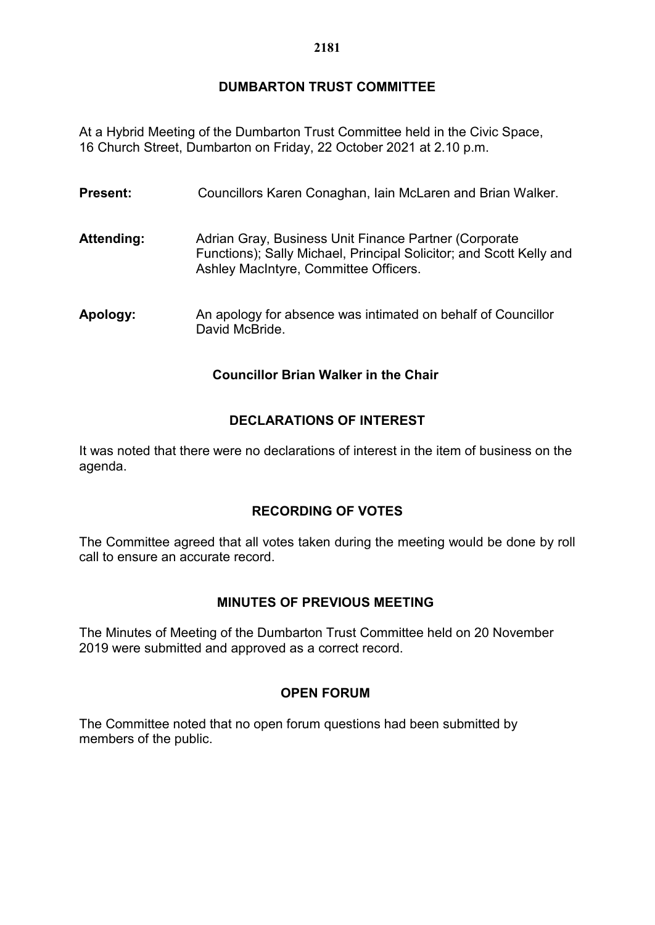# **DUMBARTON TRUST COMMITTEE**

At a Hybrid Meeting of the Dumbarton Trust Committee held in the Civic Space, 16 Church Street, Dumbarton on Friday, 22 October 2021 at 2.10 p.m.

| <b>Present:</b> | Councillors Karen Conaghan, Iain McLaren and Brian Walker.                                                                                                            |
|-----------------|-----------------------------------------------------------------------------------------------------------------------------------------------------------------------|
| Attending:      | Adrian Gray, Business Unit Finance Partner (Corporate<br>Functions); Sally Michael, Principal Solicitor; and Scott Kelly and<br>Ashley MacIntyre, Committee Officers. |
| Apology:        | An apology for absence was intimated on behalf of Councillor<br>David McBride.                                                                                        |

#### **Councillor Brian Walker in the Chair**

# **DECLARATIONS OF INTEREST**

It was noted that there were no declarations of interest in the item of business on the agenda.

# **RECORDING OF VOTES**

The Committee agreed that all votes taken during the meeting would be done by roll call to ensure an accurate record.

# **MINUTES OF PREVIOUS MEETING**

The Minutes of Meeting of the Dumbarton Trust Committee held on 20 November 2019 were submitted and approved as a correct record.

# **OPEN FORUM**

The Committee noted that no open forum questions had been submitted by members of the public.

#### **2181**